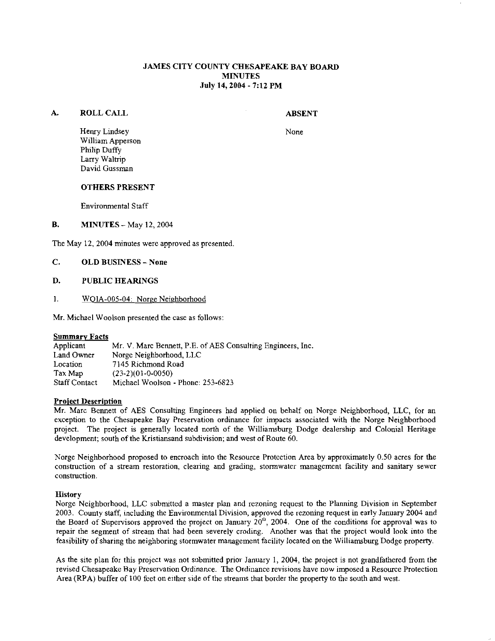# JAMES CITY COUNTY CHESAPEAKE BAY BOARD **MINUTES** July 14,2004 - 7:12 PM

## A. ROLL CALL

## ABSENT

None

Henry Lindsey William Apperson Philip Duffy Larry Waltrip David Gussman

#### OTHERS PRESENT

Environmental Staff

**B. MINUTES** - May 12, 2004

The May 12, 2004 minutes were approved as presented

- C. OLD BUSINESS None
- D. PUBLIC HEARINGS
- 1. WOIA-005-04: Norge Neighborhood

Mr. Michael Woolson presented the case as follows:

**Summary Facts**<br>Applicant Applicant Mr. V. Marc Bennett, P.E. of AES Consulting Engineers, Inc.<br>Land Owner Norge Neighborhood, LLC Land Owner Norge Neighborhood, LLC<br>Location 7145 Richmond Road Location  $7145$  Richmond Road<br>Tax Man  $(23-2)(01-0-0050)$ Tax Map (23-2)(01-0-0050)<br>Staff Contact Michael Woolson Michael Woolson - Phone: 253-6823

## Proiect Description

Mr. Marc Bennett of AES Consulting Engineers had applied on behalf on Norge Neighborhood, LLC, for an exception to the Chesapeake Bay Preservation ordinance for impacts associated with the Norge Neighborhood project. The project is generally located north of the Williamsburg Dodge dealership and Colonial Heritage development; south of the Kristiansand subdivision; and west of Route 60.

Norge Neighborhood proposed to encroach into the Resource Protection Area by approximately 0.50 acres for the construction of a stream restoration, clearing and grading, stormwater management facility and sanitary sewer construction.

## **History**

Norge Neighborhood, LLC submitted a master plan and rezoning request to the Planning Division in September 2003. County staff, including the Environmental Division, approved the rezoning request in early January 2004 and the Board of Supervisors approved the project on January 20"', 2004. One of the conditions for approval was to repair the segment of stream that had been severely croding. Another was that the project would look into the feasibility of sharing the neighboring stormwater management facility located on the Williamsburg Dodge property.

As the site plan for this project was not submitted prior January 1, 2004, the project is not grandfathered from the revised Chesapeake Bay Preservation Ordinance. The Ordiuance revisions have now imposed a Resource Protection Area (RPA) buffer of 100 feet on either side of the streams that border the property to the south and west.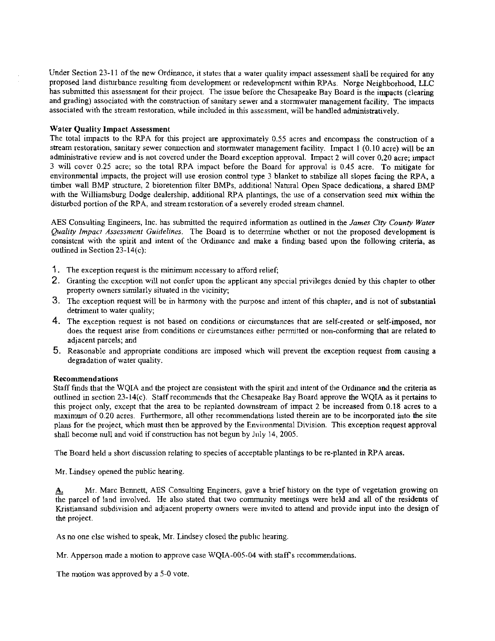Under Section 23-11 of the new Ordinance, it states that a water quality impact assessment shall be required for any proposed land disturbance resulting from development or redevelopment within RPAs. Norge Neighborhood, LLC has submitted this assessment for their project. The issue before the Chesapeake Bay Board is the impacts (clearing and grading) associated with the construction of sanitary sewer and a stormwater management facility. The impacts associated with the stream restoration. while included in this assessment, will be handled administratively.

## Water Quality Impact Assessment

The total impacts to the RPA for this project are approximately  $0.55$  acres and encompass the construction of a stream restoration, sanitary sewer connection and stormwater management facility. Impact 1 (0.10 acre) will be an administrative review and is not covered under the Board exception approval. Impact **2** will cover 0.20 acre; impact 3 will cover 0.25 acre; so the total RPA impact before the Board for approval is 0.45 acre. To mitigate for environmental impacts, the project will use erosion control type 3 blanket to stabilize all slopes facing the RPA, a timber wall BMP structure, 2 bioretention filter BMPs, additional Natural Open Space dedications, a shared BMP with the Williamsburg Dodge dealership, additional RPA plantings, the use of a conservation seed mix within the disturbed portion of the RPA, and stream restoration of a severely eroded stream channel.

AES Consulting Engineers, lnc. has submitted the required information as outlined in the *James City County Water fiality Impacr Assessment Guidelines.* The Board is to determine whether or not the proposed development is consistent with the spirit and intent of the Ordinance and make a finding based upon the following criteria, as outlined in Section 23-14(c):

- 1 . The exception request is the minimum necessary to afford relief;
- 2. Granting the exception will not confer upon the applieant any special privileges denied by this chapter to other property owners similarly situated in the vicinity;
- 3. The exception request will be in harmony with the purpose and intent of this chapter, and is not of substantial detriment to water quality;
- 4. The exception request is not based on conditions or circumstances that are self-created or self-imposed, nor does the request arise from conditions or circumstances either permitted or non-conforming that are related to adjacent parcels; and
- 5. Reasonable and appropriate conditions are imposed which will prevent the exception request from causing a degradation of water quality.

## Recommendations

Staff finds that the WQIA and the project are consistent with the spirit and intent of the Ordinance and the criteria as outlined in section 23-14(c). Staff recommends that the Chesapeake Bay Board approve the WQIA as it pertains to this project only, except that the area to be replanted downstream of impact 2 be increased from 0.18 acres to a maximum of 0.20 acres. Furthermore, all other recommendations listed therein are to be incorporated into the site plans for the project, which must then be approved by the Environmental Division. This exception request approval shall become null and void if constmction has not begun by July 14, 2005.

The Board held a short discussion relating to species of acceptable plantings to be re-planted in RPA areas.

Mr. Lindsey opened the public hearing

A. Mr. Marc Bennett, AES Consulting Engineers, gave a brief history on the type of vegetation growing on the parcel of land involved. He also stated that two community meetings were held and all of the residents of Kristiansand subdivision and adjacent property owners were invited to attend and provide input into the design of the project.

As no one else wished to speak, Mr. Lindsey closed the public hearing.

Mr. Apperson made a motion to approve case WQIA-005-04 with staff's recommendations.

The motion was approved by a 5-0 vote.